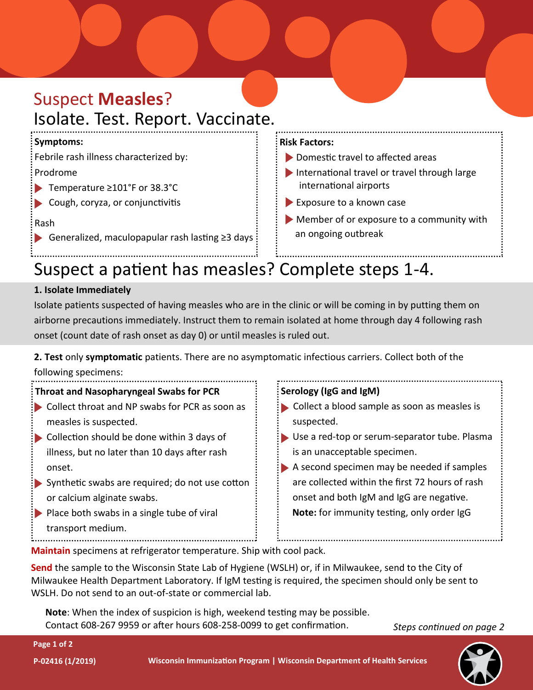# Suspect **Measles**? Isolate. Test. Report. Vaccinate.

## **Symptoms:**

Febrile rash illness characterized by:

### Prodrome

- Temperature ≥101°F or 38.3°C
- Cough, coryza, or conjunctivitis

# Rash

Generalized, maculopapular rash lasting ≥3 days

#### **Risk Factors:**

- ▶ Domestic travel to affected areas
- International travel or travel through large international airports
- Exposure to a known case
- Member of or exposure to a community with an ongoing outbreak

# Suspect a patient has measles? Complete steps 1-4.

# **1. Isolate Immediately**

Isolate patients suspected of having measles who are in the clinic or will be coming in by putting them on airborne precautions immediately. Instruct them to remain isolated at home through day 4 following rash onset (count date of rash onset as day 0) or until measles is ruled out.

**2. Test** only **symptomatic** patients. There are no asymptomatic infectious carriers. Collect both of the following specimens:



**Maintain** specimens at refrigerator temperature. Ship with cool pack.

**Send** the sample to the Wisconsin State Lab of Hygiene (WSLH) or, if in Milwaukee, send to the City of Milwaukee Health Department Laboratory. If IgM testing is required, the specimen should only be sent to WSLH. Do not send to an out-of-state or commercial lab.

**Note**: When the index of suspicion is high, weekend testing may be possible. Contact 608-267 9959 or after hours 608-258-0099 to get confirmation.

*Steps continued on page 2*